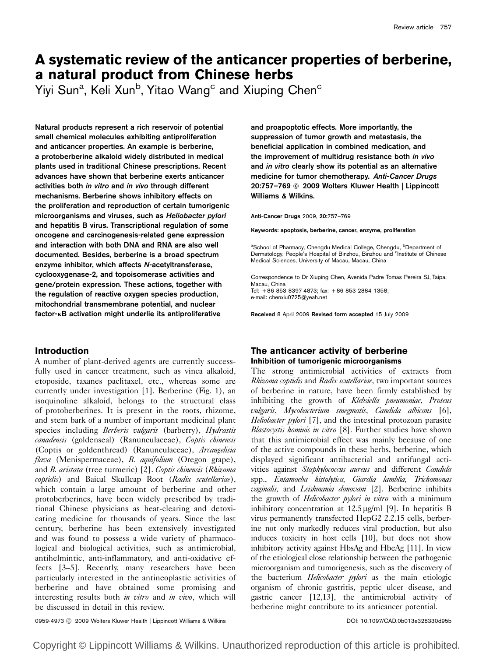# A systematic review of the anticancer properties of berberine, a natural product from Chinese herbs

Yiyi Sun<sup>a</sup>, Keli Xun<sup>b</sup>, Yitao Wang<sup>c</sup> and Xiuping Chen<sup>c</sup>

Natural products represent a rich reservoir of potential small chemical molecules exhibiting antiproliferation and anticancer properties. An example is berberine, a protoberberine alkaloid widely distributed in medical plants used in traditional Chinese prescriptions. Recent advances have shown that berberine exerts anticancer activities both in vitro and in vivo through different mechanisms. Berberine shows inhibitory effects on the proliferation and reproduction of certain tumorigenic microorganisms and viruses, such as Heliobacter pylori and hepatitis B virus. Transcriptional regulation of some oncogene and carcinogenesis-related gene expression and interaction with both DNA and RNA are also well documented. Besides, berberine is a broad spectrum enzyme inhibitor, which affects N-acetyltransferase, cyclooxygenase-2, and topoisomerase activities and gene/protein expression. These actions, together with the regulation of reactive oxygen species production, mitochondrial transmembrane potential, and nuclear factor- $\kappa$ B activation might underlie its antiproliferative

# Introduction

A number of plant-derived agents are currently successfully used in cancer treatment, such as vinca alkaloid, etoposide, taxanes paclitaxel, etc., whereas some are currently under investigation [1]. Berberine (Fig. 1), an isoquinoline alkaloid, belongs to the structural class of protoberberines. It is present in the roots, rhizome, and stem bark of a number of important medicinal plant species including Berberis vulgaris (barberry), Hydrastis canadensis (goldenseal) (Ranunculaceae), Coptis chinensis (Coptis or goldenthread) (Ranunculaceae), Arcangelisia flava (Menispermaceae), B. aquifolium (Oregon grape), and B. aristata (tree turmeric) [2]. Coptis chinensis (Rhizoma coptidis) and Baical Skullcap Root (Radix scutellariae), which contain a large amount of berberine and other protoberberines, have been widely prescribed by traditional Chinese physicians as heat-clearing and detoxicating medicine for thousands of years. Since the last century, berberine has been extensively investigated and was found to possess a wide variety of pharmacological and biological activities, such as antimicrobial, antihelmintic, anti-inflammatory, and anti-oxidative effects [3–5]. Recently, many researchers have been particularly interested in the antineoplastic activities of berberine and have obtained some promising and interesting results both *in vitro* and *in vivo*, which will be discussed in detail in this review.

and proapoptotic effects. More importantly, the suppression of tumor growth and metastasis, the beneficial application in combined medication, and the improvement of multidrug resistance both in vivo and in vitro clearly show its potential as an alternative medicine for tumor chemotherapy. Anti-Cancer Drugs 20:757–769 © 2009 Wolters Kluwer Health | Lippincott Williams & Wilkins.

Anti-Cancer Drugs 2009, 20:757–769

Keywords: apoptosis, berberine, cancer, enzyme, proliferation

<sup>a</sup>School of Pharmacy, Chengdu Medical College, Chengdu, <sup>b</sup>Department of Dermatology, People's Hospital of Binzhou, Binzhou and <sup>c</sup>Institute of Chinese Medical Sciences, University of Macau, Macau, China

Correspondence to Dr Xiuping Chen, Avenida Padre Tomas Pereira SJ, Taipa, Macau, China Tel: + 86 853 8397 4873; fax: + 86 853 2884 1358; e-mail: chenxiu0725@yeah.net

Received 8 April 2009 Revised form accepted 15 July 2009

# The anticancer activity of berberine Inhibition of tumorigenic microorganisms

The strong antimicrobial activities of extracts from Rhizoma coptidis and Radix scutellariae, two important sources of berberine in nature, have been firmly established by inhibiting the growth of Klebsiella pneumoniae, Proteus vulgaris, Mycobacterium smegmatis, Candida albicans [6], Heliobacter pylori [7], and the intestinal protozoan parasite Blastocystis hominis in vitro [8]. Further studies have shown that this antimicrobial effect was mainly because of one of the active compounds in these herbs, berberine, which displayed significant antibacterial and antifungal activities against Staphylococcus aureus and different Candida spp., Entamoeba histolytica, Giardia lamblia, Trichomonas vaginalis, and Leishmania donovani [2]. Berberine inhibits the growth of *Helicobacter pylori in vitro* with a minimum inhibitory concentration at  $12.5 \,\mu\text{g/ml}$  [9]. In hepatitis B virus permanently transfected HepG2 2.2.15 cells, berberine not only markedly reduces viral production, but also induces toxicity in host cells [10], but does not show inhibitory activity against HbsAg and HbeAg [11]. In view of the etiological close relationship between the pathogenic microorganism and tumorigenesis, such as the discovery of the bacterium *Helicobacter pylori* as the main etiologic organism of chronic gastritis, peptic ulcer disease, and gastric cancer [12,13], the antimicrobial activity of berberine might contribute to its anticancer potential.

0959-4973 ⓒ 2009 Wolters Kluwer Health | Lippincott Williams & Wilkins **DOI: 10.1097/CAD.0b013e328330d95b** 

Copyright © Lippincott Williams & Wilkins. Unauthorized reproduction of this article is prohibited.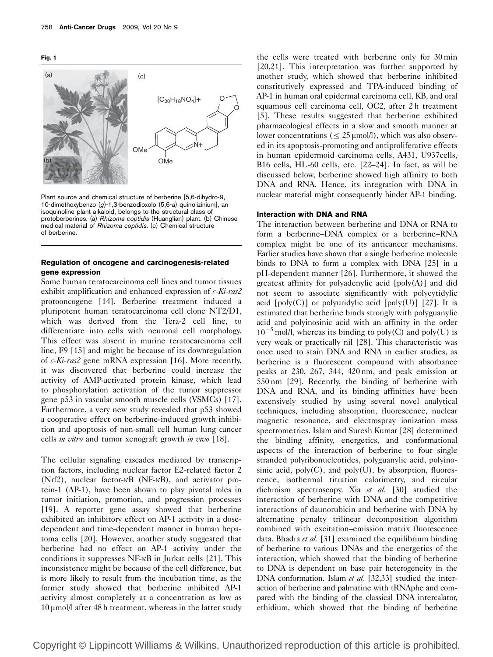Fig. 1



Plant source and chemical structure of berberine [5,6-dihydro-9, 10-dimethoxybenzo (g)-1,3-benzodioxolo (5,6-a) quinolizinium], an isoquinoline plant alkaloid, belongs to the structural class of protoberberines. (a) Rhizoma coptidis (Huanglian) plant. (b) Chinese medical material of Rhizoma coptidis. (c) Chemical structure of berberine.

#### Regulation of oncogene and carcinogenesis-related gene expression

Some human teratocarcinoma cell lines and tumor tissues exhibit amplification and enhanced expression of  $c$ -Ki-ras2 protooncogene [14]. Berberine treatment induced a pluripotent human teratocarcinoma cell clone NT2/D1, which was derived from the Tera-2 cell line, to differentiate into cells with neuronal cell morphology. This effect was absent in murine teratocarcinoma cell line, F9 [15] and might be because of its downregulation of  $c$ -Ki-ras2 gene mRNA expression [16]. More recently, it was discovered that berberine could increase the activity of AMP-activated protein kinase, which lead to phosphorylation activation of the tumor suppressor gene p53 in vascular smooth muscle cells (VSMCs) [17]. Furthermore, a very new study revealed that p53 showed a cooperative effect on berberine-induced growth inhibition and apoptosis of non-small cell human lung cancer cells *in vitro* and tumor xenograft growth *in vivo* [18].

The cellular signaling cascades mediated by transcription factors, including nuclear factor E2-related factor 2 (Nrf2), nuclear factor-kB (NF-kB), and activator protein-1 (AP-1), have been shown to play pivotal roles in tumor initiation, promotion, and progression processes [19]. A reporter gene assay showed that berberine exhibited an inhibitory effect on AP-1 activity in a dosedependent and time-dependent manner in human hepatoma cells [20]. However, another study suggested that berberine had no effect on AP-1 activity under the conditions it suppresses NF-kB in Jurkat cells [21]. This inconsistence might be because of the cell difference, but is more likely to result from the incubation time, as the former study showed that berberine inhibited AP-1 activity almost completely at a concentration as low as  $10 \mu$ mol/l after 48 h treatment, whereas in the latter study

the cells were treated with berberine only for 30 min [20,21]. This interpretation was further supported by another study, which showed that berberine inhibited constitutively expressed and TPA-induced binding of AP-1 in human oral epidermal carcinoma cell, KB, and oral squamous cell carcinoma cell, OC2, after 2 h treatment [5]. These results suggested that berberine exhibited pharmacological effects in a slow and smooth manner at lower concentrations ( $\leq$  25 µmol/l), which was also observed in its apoptosis-promoting and antiproliferative effects in human epidermoid carcinoma cells, A431, U937cells, B16 cells, HL-60 cells, etc. [22–24]. In fact, as will be discussed below, berberine showed high affinity to both DNA and RNA. Hence, its integration with DNA in nuclear material might consequently hinder AP-1 binding.

#### Interaction with DNA and RNA

The interaction between berberine and DNA or RNA to form a berberine–DNA complex or a berberine–RNA complex might be one of its anticancer mechanisms. Earlier studies have shown that a single berberine molecule binds to DNA to form a complex with DNA [25] in a pH-dependent manner [26]. Furthermore, it showed the greatest affinity for polyadenylic acid [poly(A)] and did not seem to associate significantly with polycytidylic acid  $[poly(C)]$  or polyuridylic acid  $[poly(U)]$  [27]. It is estimated that berberine binds strongly with polyguanylic acid and polyinosinic acid with an affinity in the order  $10^{-5}$  mol/l, whereas its binding to poly(C) and poly(U) is very weak or practically nil [28]. This characteristic was once used to stain DNA and RNA in earlier studies, as berberine is a fluorescent compound with absorbance peaks at 230, 267, 344, 420 nm, and peak emission at 550 nm [29]. Recently, the binding of berberine with DNA and RNA, and its binding affinities have been extensively studied by using several novel analytical techniques, including absorption, fluorescence, nuclear magnetic resonance, and electrospray ionization mass spectrometries. Islam and Suresh Kumar [28] determined the binding affinity, energetics, and conformational aspects of the interaction of berberine to four single stranded polyribonucleotides, polyguanylic acid, polyinosinic acid,  $poly(C)$ , and  $poly(U)$ , by absorption, fluorescence, isothermal titration calorimetry, and circular dichroism spectroscopy. Xia et al. [30] studied the interaction of berberine with DNA and the competitive interactions of daunorubicin and berberine with DNA by alternating penalty trilinear decomposition algorithm combined with excitation–emission matrix fluorescence data. Bhadra et al. [31] examined the equilibrium binding of berberine to various DNAs and the energetics of the interaction, which showed that the binding of berberine to DNA is dependent on base pair heterogeneity in the DNA conformation. Islam et al. [32,33] studied the interaction of berberine and palmatine with tRNAphe and compared with the binding of the classical DNA intercalator, ethidium, which showed that the binding of berberine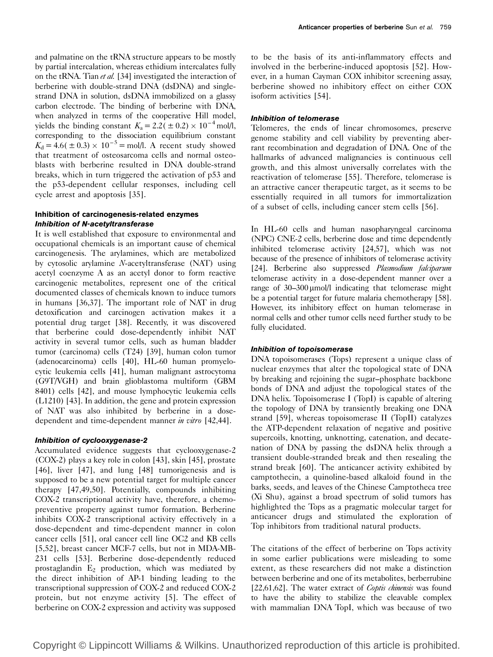and palmatine on the tRNA structure appears to be mostly by partial intercalation, whereas ethidium intercalates fully on the tRNA. Tian et al. [34] investigated the interaction of berberine with double-strand DNA (dsDNA) and singlestrand DNA in solution, dsDNA immobilized on a glassy carbon electrode. The binding of berberine with DNA, when analyzed in terms of the cooperative Hill model, yields the binding constant  $K_a = 2.2(\pm 0.2) \times 10^{-4}$  mol/l, corresponding to the dissociation equilibrium constant  $K_d = 4.6(\pm 0.3) \times 10^{-5} =$  mol/l. A recent study showed that treatment of osteosarcoma cells and normal osteoblasts with berberine resulted in DNA double-strand breaks, which in turn triggered the activation of p53 and the p53-dependent cellular responses, including cell cycle arrest and apoptosis [35].

# Inhibition of carcinogenesis-related enzymes Inhibition of N-acetyltransferase

It is well established that exposure to environmental and occupational chemicals is an important cause of chemical carcinogenesis. The arylamines, which are metabolized by cytosolic arylamine N-acetyltransferase (NAT) using acetyl coenzyme A as an acetyl donor to form reactive carcinogenic metabolites, represent one of the critical documented classes of chemicals known to induce tumors in humans [36,37]. The important role of NAT in drug detoxification and carcinogen activation makes it a potential drug target [38]. Recently, it was discovered that berberine could dose-dependently inhibit NAT activity in several tumor cells, such as human bladder tumor (carcinoma) cells (T24) [39], human colon tumor (adenocarcinoma) cells [40], HL-60 human promyelocytic leukemia cells [41], human malignant astrocytoma (G9T/VGH) and brain glioblastoma multiform (GBM 8401) cells [42], and mouse lymphocytic leukemia cells (L1210) [43]. In addition, the gene and protein expression of NAT was also inhibited by berberine in a dosedependent and time-dependent manner in vitro [42,44].

# Inhibition of cyclooxygenase-2

Accumulated evidence suggests that cyclooxygenase-2 (COX-2) plays a key role in colon [43], skin [45], prostate [46], liver [47], and lung [48] tumorigenesis and is supposed to be a new potential target for multiple cancer therapy [47,49,50]. Potentially, compounds inhibiting COX-2 transcriptional activity have, therefore, a chemopreventive property against tumor formation. Berberine inhibits COX-2 transcriptional activity effectively in a dose-dependent and time-dependent manner in colon cancer cells [51], oral cancer cell line OC2 and KB cells [5,52], breast cancer MCF-7 cells, but not in MDA-MB-231 cells [53]. Berberine dose-dependently reduced prostaglandin  $E_2$  production, which was mediated by the direct inhibition of AP-1 binding leading to the transcriptional suppression of COX-2 and reduced COX-2 protein, but not enzyme activity [5]. The effect of berberine on COX-2 expression and activity was supposed to be the basis of its anti-inflammatory effects and involved in the berberine-induced apoptosis [52]. However, in a human Cayman COX inhibitor screening assay, berberine showed no inhibitory effect on either COX isoform activities [54].

# Inhibition of telomerase

Telomeres, the ends of linear chromosomes, preserve genome stability and cell viability by preventing aberrant recombination and degradation of DNA. One of the hallmarks of advanced malignancies is continuous cell growth, and this almost universally correlates with the reactivation of telomerase [55]. Therefore, telomerase is an attractive cancer therapeutic target, as it seems to be essentially required in all tumors for immortalization of a subset of cells, including cancer stem cells [56].

In HL-60 cells and human nasopharyngeal carcinoma (NPC) CNE-2 cells, berberine dose and time dependently inhibited telomerase activity [24,57], which was not because of the presence of inhibitors of telomerase activity [24]. Berberine also suppressed Plasmodium falciparum telomerase activity in a dose-dependent manner over a range of 30–300 µmol/l indicating that telomerase might be a potential target for future malaria chemotherapy [58]. However, its inhibitory effect on human telomerase in normal cells and other tumor cells need further study to be fully elucidated.

# Inhibition of topoisomerase

DNA topoisomerases (Tops) represent a unique class of nuclear enzymes that alter the topological state of DNA by breaking and rejoining the sugar–phosphate backbone bonds of DNA and adjust the topological states of the DNA helix. Topoisomerase I (TopI) is capable of altering the topology of DNA by transiently breaking one DNA strand [59], whereas topoisomerase II (TopII) catalyzes the ATP-dependent relaxation of negative and positive supercoils, knotting, unknotting, catenation, and decatenation of DNA by passing the dsDNA helix through a transient double-stranded break and then resealing the strand break [60]. The anticancer activity exhibited by camptothecin, a quinoline-based alkaloid found in the barks, seeds, and leaves of the Chinese Camptotheca tree (Xi Shu), against a broad spectrum of solid tumors has highlighted the Tops as a pragmatic molecular target for anticancer drugs and stimulated the exploration of Top inhibitors from traditional natural products.

The citations of the effect of berberine on Tops activity in some earlier publications were misleading to some extent, as these researchers did not make a distinction between berberine and one of its metabolites, berberrubine [22,61,62]. The water extract of *Coptis chinensis* was found to have the ability to stabilize the cleavable complex with mammalian DNA TopI, which was because of two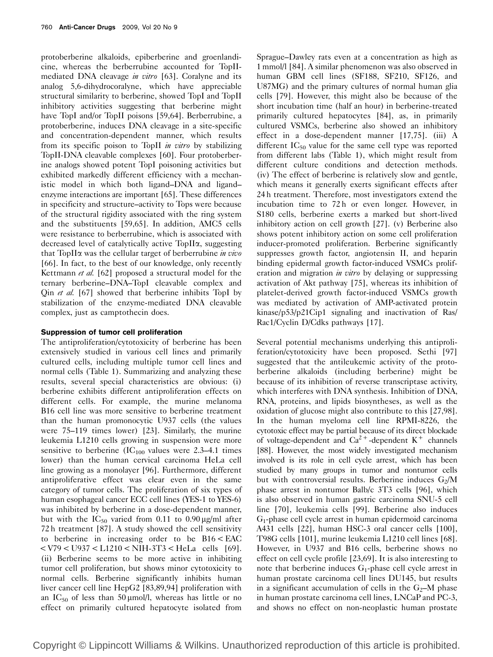protoberberine alkaloids, epiberberine and groenlandicine, whereas the berberrubine accounted for TopIImediated DNA cleavage in vitro [63]. Coralyne and its analog 5,6-dihydrocoralyne, which have appreciable structural similarity to berberine, showed TopI and TopII inhibitory activities suggesting that berberine might have TopI and/or TopII poisons [59,64]. Berberrubine, a protoberberine, induces DNA cleavage in a site-specific and concentration-dependent manner, which results from its specific poison to TopII in vitro by stabilizing TopII-DNA cleavable complexes [60]. Four protoberberine analogs showed potent TopI poisoning activities but exhibited markedly different efficiency with a mechanistic model in which both ligand–DNA and ligand– enzyme interactions are important [65]. These differences in specificity and structure–activity to Tops were because of the structural rigidity associated with the ring system and the substituents [59,65]. In addition, AMC5 cells were resistance to berberrubine, which is associated with decreased level of catalytically active TopIIa, suggesting that TopII $\alpha$  was the cellular target of berberrubine *in vivo* [66]. In fact, to the best of our knowledge, only recently Kettmann et al. [62] proposed a structural model for the ternary berberine–DNA–TopI cleavable complex and Qin *et al.* [67] showed that berberine inhibits TopI by stabilization of the enzyme-mediated DNA cleavable complex, just as camptothecin does.

#### Suppression of tumor cell proliferation

The antiproliferation/cytotoxicity of berberine has been extensively studied in various cell lines and primarily cultured cells, including multiple tumor cell lines and normal cells (Table 1). Summarizing and analyzing these results, several special characteristics are obvious: (i) berberine exhibits different antiproliferation effects on different cells. For example, the murine melanoma B16 cell line was more sensitive to berberine treatment than the human promonocytic U937 cells (the values were 75–119 times lower) [23]. Similarly, the murine leukemia L1210 cells growing in suspension were more sensitive to berberine  $(IC_{100}$  values were 2.3–4.1 times lower) than the human cervical carcinoma HeLa cell line growing as a monolayer [96]. Furthermore, different antiproliferative effect was clear even in the same category of tumor cells. The proliferation of six types of human esophageal cancer ECC cell lines (YES-1 to YES-6) was inhibited by berberine in a dose-dependent manner, but with the  $IC_{50}$  varied from 0.11 to 0.90  $\mu$ g/ml after 72 h treatment [87]. A study showed the cell sensitivity to berberine in increasing order to be B16 < EAC < V79 < U937 < L1210 < NIH-3T3 < HeLa cells [69]. (ii) Berberine seems to be more active in inhibiting tumor cell proliferation, but shows minor cytotoxicity to normal cells. Berberine significantly inhibits human liver cancer cell line HepG2 [83,89,94] proliferation with an  $IC_{50}$  of less than 50 µmol/l, whereas has little or no effect on primarily cultured hepatocyte isolated from

Sprague–Dawley rats even at a concentration as high as 1 mmol/l [84]. A similar phenomenon was also observed in human GBM cell lines (SF188, SF210, SF126, and U87MG) and the primary cultures of normal human glia cells [79]. However, this might also be because of the short incubation time (half an hour) in berberine-treated primarily cultured hepatocytes [84], as, in primarily cultured VSMCs, berberine also showed an inhibitory effect in a dose-dependent manner [17,75]. (iii) A different  $IC_{50}$  value for the same cell type was reported from different labs (Table 1), which might result from different culture conditions and detection methods. (iv) The effect of berberine is relatively slow and gentle, which means it generally exerts significant effects after 24 h treatment. Therefore, most investigators extend the incubation time to 72 h or even longer. However, in S180 cells, berberine exerts a marked but short-lived inhibitory action on cell growth [27]. (v) Berberine also shows potent inhibitory action on some cell proliferation inducer-promoted proliferation. Berberine significantly suppresses growth factor, angiotensin II, and heparin binding epidermal growth factor-induced VSMCs proliferation and migration *in vitro* by delaying or suppressing activation of Akt pathway [75], whereas its inhibition of platelet-derived growth factor-induced VSMCs growth was mediated by activation of AMP-activated protein kinase/p53/p21Cip1 signaling and inactivation of Ras/ Rac1/Cyclin D/Cdks pathways [17].

Several potential mechanisms underlying this antiproliferation/cytotoxicity have been proposed. Sethi [97] suggested that the antileukemic activity of the protoberberine alkaloids (including berberine) might be because of its inhibition of reverse transcriptase activity, which interferes with DNA synthesis. Inhibition of DNA, RNA, proteins, and lipids biosyntheses, as well as the oxidation of glucose might also contribute to this [27,98]. In the human myeloma cell line RPMI-8226, the cytotoxic effect may be partial because of its direct blockade of voltage-dependent and  $Ca^{2+}$ -dependent K<sup>+</sup> channels [88]. However, the most widely investigated mechanism involved is its role in cell cycle arrest, which has been studied by many groups in tumor and nontumor cells but with controversial results. Berberine induces  $G_2/M$ phase arrest in nontumor Balb/c 3T3 cells [96], which is also observed in human gastric carcinoma SNU-5 cell line [70], leukemia cells [99]. Berberine also induces G1-phase cell cycle arrest in human epidermoid carcinoma A431 cells [22], human HSC-3 oral cancer cells [100], T98G cells [101], murine leukemia L1210 cell lines [68]. However, in U937 and B16 cells, berberine shows no effect on cell cycle profile [23,69]. It is also interesting to note that berberine induces  $G_1$ -phase cell cycle arrest in human prostate carcinoma cell lines DU145, but results in a significant accumulation of cells in the  $G_2$ –M phase in human prostate carcinoma cell lines, LNCaP and PC-3, and shows no effect on non-neoplastic human prostate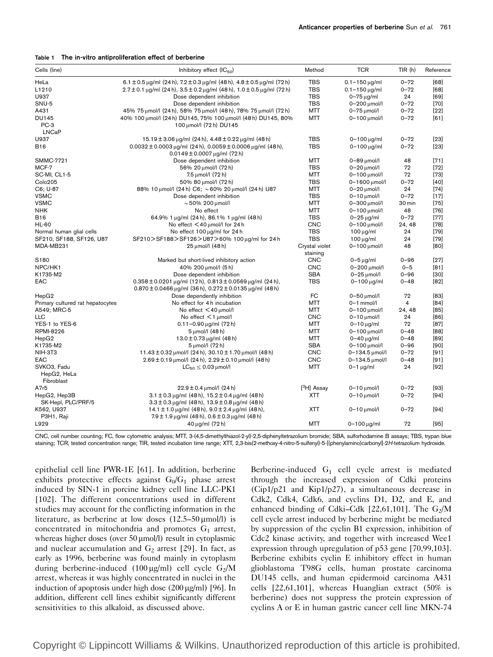|  |  | Table 1 The in-vitro antiproliferation effect of berberine |  |  |
|--|--|------------------------------------------------------------|--|--|
|--|--|------------------------------------------------------------|--|--|

| Cells (line)                     | Inhibitory effect $(IC_{50})$                                                                                                                           | Method                    | <b>TCR</b>             | TIR(h)   | Reference |
|----------------------------------|---------------------------------------------------------------------------------------------------------------------------------------------------------|---------------------------|------------------------|----------|-----------|
| HeLa                             | $6.1 \pm 0.5$ µg/ml $(24 h)$ , $7.2 \pm 0.3$ µg/ml $(48 h)$ , $4.8 \pm 0.5$ µg/ml $(72 h)$                                                              | <b>TBS</b>                | $0.1 - 150 \,\mu g/ml$ | $0 - 72$ | [68]      |
| L1210                            | $2.7 \pm 0.1$ µg/ml (24 h), $3.5 \pm 0.2$ µg/ml (48 h), $1.0 \pm 0.5$ µg/ml (72 h)                                                                      | <b>TBS</b>                | $0.1 - 150 \,\mu g/ml$ | $0 - 72$ | [68]      |
| U937                             | Dose dependent inhibition                                                                                                                               | <b>TBS</b>                | $0-75 \mu g/ml$        | 24       | [69]      |
| SNU-5                            | Dose dependent inhibition                                                                                                                               | <b>TBS</b>                | 0-200 µmol/l           | $0 - 72$ | $[70]$    |
| A431                             | 45% 75 μmol/l (24 h), 58% 75 μmol/l (48 h), 78% 75 μmol/l (72 h)                                                                                        | <b>MTT</b>                | $0-75$ $\mu$ mol/l     | $0 - 72$ | $[22]$    |
| <b>DU145</b>                     | 40% 100 μmol/l (24 h) DU145, 75% 100 μmol/l (48 h) DU145, 80%                                                                                           | <b>MTT</b>                | $0 - 100$ $\mu$ mol/l  | $0 - 72$ | [61]      |
| PC-3                             | 100 μmol/l (72 h) DU145                                                                                                                                 |                           |                        |          |           |
| <b>LNCaP</b>                     |                                                                                                                                                         |                           |                        |          |           |
| U937                             | $15.19 \pm 3.06 \,\mu$ g/ml (24 h), 4.48 $\pm$ 0.22 $\mu$ g/ml (48 h)                                                                                   | <b>TBS</b>                | $0 - 100 \mu q/ml$     | $0 - 72$ | $[23]$    |
| <b>B16</b>                       | $0.0032 \pm 0.0003 \,\mu g/ml$ (24 h), $0.0059 \pm 0.0006 \,\mu g/ml$ (48 h),                                                                           | <b>TBS</b>                | $0 - 100 \mu g/ml$     | $0 - 72$ | $[23]$    |
|                                  | $0.0149 \pm 0.0007 \,\mu g/ml$ (72 h)                                                                                                                   |                           |                        |          |           |
| <b>SMMC-7721</b>                 | Dose dependent inhibition                                                                                                                               | <b>MTT</b>                | 0-89 µmol/l            | 48       | $[71]$    |
| MCF-7                            | 56% 20 µmol/l (72 h)                                                                                                                                    | <b>TBS</b>                | $0-20$ $\mu$ mol/l     | 72       | $[72]$    |
| SC-MI, CL1-5                     | 7.5 µmol/l (72 h)                                                                                                                                       | <b>MTT</b>                | $0 - 100$ $\mu$ mol/l  | 72       | $[73]$    |
| Colo205                          | 50% 80 μmol/l (72 h)                                                                                                                                    | <b>TBS</b>                | 0-1600 µmol/l          | $0 - 72$ | [40]      |
| C6; U-87                         | 88% 10 μmol/l (24 h) C6; ~60% 20 μmol/l (24 h) U87                                                                                                      | <b>MTT</b>                | $0-20$ $\mu$ mol/l     | 24       | $[74]$    |
| <b>VSMC</b>                      | Dose dependent inhibition                                                                                                                               | <b>TBS</b>                | $0-10$ $\mu$ mol/l     | $0 - 72$ | $[17]$    |
| <b>VSMC</b>                      | $\sim$ 50% 200 $\mu$ mol/l                                                                                                                              | MTT                       | $0 - 300$ $\mu$ mol/l  | 30 min   | $[75]$    |
| <b>NHK</b>                       | No effect                                                                                                                                               | <b>MTT</b>                | 0-100 µmol/l           | 48       | $[76]$    |
| <b>B16</b>                       | 64.9% 1 µg/ml (24 h), 86.1% 1 µg/ml (48 h)                                                                                                              | <b>TBS</b>                | $0-25 \mu q/ml$        | $0 - 72$ | $[77]$    |
| HL-60                            | No effect <40 µmol/l for 24 h                                                                                                                           | <b>CNC</b>                | $0 - 100$ $\mu$ mol/l  | 24, 48   | $[78]$    |
| Normal human glial cells         | No effect 100 µg/ml for 24 h                                                                                                                            | <b>TBS</b>                | $100 \mu q/ml$         | 24       | [79]      |
|                                  |                                                                                                                                                         | <b>TBS</b>                |                        | 24       | $[79]$    |
| SF210, SF188, SF126, U87         | SF210>SF188>SF126>U87>60% 100 µg/ml for 24 h                                                                                                            |                           | $100 \mu g/ml$         |          |           |
| MDA-MB231                        | 25 µmol/l (48 h)                                                                                                                                        | Crystal violet            | 0-100 µmol/l           | 48       | [80]      |
|                                  |                                                                                                                                                         | staining                  |                        |          |           |
| S <sub>180</sub>                 | Marked but short-lived inhibitory action                                                                                                                | <b>CNC</b>                | $0-5 \mu q/ml$         | $0 - 96$ | $[27]$    |
| NPC/HK1                          | 40% 200 μmol/l (5 h)                                                                                                                                    | <b>CNC</b>                | 0-200 µmol/l           | $0 - 5$  | [81]      |
| K1735-M2                         | Dose dependent inhibition                                                                                                                               | <b>SBA</b>                | $0-25$ $\mu$ mol/l     | $0 - 96$ | $[30]$    |
| EAC                              | $0.358 \pm 0.0201 \,\mu g/ml$ (12h), $0.813 \pm 0.0569 \,\mu g/ml$ (24h),<br>$0.870 \pm 0.0466 \,\mu$ g/ml (36 h), $0.272 \pm 0.0135 \,\mu$ g/ml (48 h) | <b>TBS</b>                | $0 - 100 \mu g/ml$     | $0 - 48$ | $[82]$    |
| HepG2                            | Dose dependently inhibition                                                                                                                             | FC                        | $0-50$ $\mu$ mol/l     | 72       | $[83]$    |
| Primary cultured rat hepatocytes | No effect for 4 h incubation                                                                                                                            | <b>MTT</b>                | $0-1$ mmol/l           | 4        | [84]      |
| A549; MRC-5                      | No effect $\leq$ 40 $\mu$ mol/l                                                                                                                         | <b>MTT</b>                | 0-100 µmol/l           | 24, 48   | [85]      |
| <b>LLC</b>                       | No effect $\leq$ 1 $\mu$ mol/l                                                                                                                          | <b>CNC</b>                | $0-10$ $\mu$ mol/l     | 24       | [86]      |
| YES-1 to YES-6                   | 0.11-0.90 µg/ml (72 h)                                                                                                                                  | <b>MTT</b>                | $0 - 10 \mu q/ml$      | 72       | $[87]$    |
| <b>RPMI-8226</b>                 | 5 µmol/l (48 h)                                                                                                                                         | <b>MTT</b>                | $0 - 100$ $\mu$ mol/l  | $0 - 48$ | [88]      |
| HepG <sub>2</sub>                | $13.0 \pm 0.73 \,\mu g/ml$ (48 h)                                                                                                                       | MTT                       | $0 - 40 \mu q/ml$      | $0 - 48$ | [89]      |
| K1735-M2                         | 5 µmol/l (72 h)                                                                                                                                         | <b>SBA</b>                | $0 - 100$ $\mu$ mol/l  | $0 - 96$ | $[90]$    |
| NIH-3T3                          | 11.43 $\pm$ 0.32 µmol/l (24 h), 30.10 $\pm$ 1.70 µmol/l (48 h)                                                                                          | <b>CNC</b>                | 0-134.5 umol/l         | $0 - 72$ | $[91]$    |
| EAC                              | $2.69 \pm 0.19$ µmol/l (24 h), $2.29 \pm 0.10$ µmol/l (48 h)                                                                                            | <b>CNC</b>                | 0-134.5 µmol/l         | $0 - 48$ | $[91]$    |
| SVKO3, Fadu                      | $LC_{50} \le 0.03$ µmol/l                                                                                                                               | <b>MTT</b>                | $0-1$ $\mu$ g/ml       | 24       | $[92]$    |
| HepG2, HeLa                      |                                                                                                                                                         |                           |                        |          |           |
| Fibroblast                       |                                                                                                                                                         |                           |                        |          |           |
| A7r5                             | $22.9 \pm 0.4$ µmol/l (24 h)                                                                                                                            | $[$ <sup>3</sup> H] Assay | $0-10$ $\mu$ mol/l     | $0 - 72$ | $[93]$    |
| HepG2, Hep3B                     | $3.1 \pm 0.3 \,\mu$ g/ml (48 h), $15.2 \pm 0.4 \,\mu$ g/ml (48 h)                                                                                       | <b>XTT</b>                | $0-10$ $\mu$ mol/l     | $0 - 72$ | $[94]$    |
| SK-Hepl, PLC/PRF/5               | $3.3 \pm 0.3 \,\mu$ g/ml (48 h), 13.9 $\pm$ 0.8 $\mu$ g/ml (48 h)                                                                                       |                           |                        |          |           |
| K562, U937                       | $14.1 \pm 1.0 \,\mu$ g/ml (48 h), $9.0 \pm 2.4 \,\mu$ g/ml (48 h),                                                                                      | <b>XTT</b>                | $0-10$ $\mu$ mol/l     | $0 - 72$ | $[94]$    |
| P3H1, Raji                       | $7.9 \pm 1.9 \,\mu$ g/ml (48 h), 0.6 $\pm$ 0.3 $\mu$ g/ml (48 h)                                                                                        |                           |                        |          |           |
| L929                             | $40 \mu g/ml$ (72 h)                                                                                                                                    | <b>MTT</b>                | $0 - 100 \mu g/ml$     | 72       | $[95]$    |

CNC, cell number counting; FC, flow cytometric analysis; MTT, 3-(4,5-dimethylthiazol-2-yl)-2,5-diphenyltetrazolium bromide; SBA, sulforhodamine B assays; TBS, trypan blue staining; TCR, tested concentration range; TIR, tested incubation time range; XTT, 2,3-bis(2-methoxy-4-nitro-5-sulfenyl)-5-[(phenylamino)carbonyl]-2H-tetrazolium hydroxide.

epithelial cell line PWR-1E [61]. In addition, berberine exhibits protective effects against  $G_0/G_1$  phase arrest induced by SIN-1 in porcine kidney cell line LLC-PK1 [102]. The different concentrations used in different studies may account for the conflicting information in the literature, as berberine at low doses  $(12.5-50 \,\mu\text{mol/l})$  is concentrated in mitochondria and promotes  $G_1$  arrest, whereas higher doses (over 50 µmol/l) result in cytoplasmic and nuclear accumulation and  $G_2$  arrest [29]. In fact, as early as 1996, berberine was found mainly in cytoplasm during berberine-induced (100  $\mu$ g/ml) cell cycle G<sub>2</sub>/M arrest, whereas it was highly concentrated in nuclei in the induction of apoptosis under high dose  $(200 \mu g/ml)$  [96]. In addition, different cell lines exhibit significantly different sensitivities to this alkaloid, as discussed above.

Berberine-induced  $G_1$  cell cycle arrest is mediated through the increased expression of Cdki proteins (Cip1/p21 and Kip1/p27), a simultaneous decrease in Cdk2, Cdk4, Cdk6, and cyclins D1, D2, and E, and enhanced binding of Cdki-Cdk [22,61,101]. The  $G_2/M$ cell cycle arrest induced by berberine might be mediated by suppression of the cyclin B1 expression, inhibition of Cdc2 kinase activity, and together with increased Wee1 expression through upregulation of p53 gene [70,99,103]. Berberine exhibits cyclin E inhibitory effect in human glioblastoma T98G cells, human prostate carcinoma DU145 cells, and human epidermoid carcinoma A431 cells [22,61,101], whereas Huanglian extract (50% is berberine) does not suppress the protein expression of cyclins A or E in human gastric cancer cell line MKN-74

Copyright © Lippincott Williams & Wilkins. Unauthorized reproduction of this article is prohibited.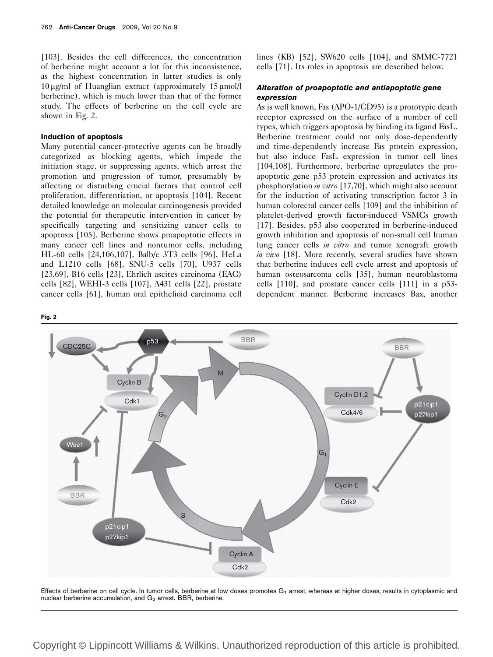[103]. Besides the cell differences, the concentration of berberine might account a lot for this inconsistence, as the highest concentration in latter studies is only  $10 \mu g/ml$  of Huanglian extract (approximately  $15 \mu mol/l$ berberine), which is much lower than that of the former study. The effects of berberine on the cell cycle are shown in Fig. 2.

#### Induction of apoptosis

Many potential cancer-protective agents can be broadly categorized as blocking agents, which impede the initiation stage, or suppressing agents, which arrest the promotion and progression of tumor, presumably by affecting or disturbing crucial factors that control cell proliferation, differentiation, or apoptosis [104]. Recent detailed knowledge on molecular carcinogenesis provided the potential for therapeutic intervention in cancer by specifically targeting and sensitizing cancer cells to apoptosis [105]. Berberine shows proapoptotic effects in many cancer cell lines and nontumor cells, including HL-60 cells [24,106,107], Balb/c 3T3 cells [96], HeLa and L1210 cells [68], SNU-5 cells [70], U937 cells [23,69], B16 cells [23], Ehrlich ascites carcinoma (EAC) cells [82], WEHI-3 cells [107], A431 cells [22], prostate cancer cells [61], human oral epithelioid carcinoma cell

Fig. 2



### Alteration of proapoptotic and antiapoptotic gene expression

As is well known, Fas (APO-1/CD95) is a prototypic death receptor expressed on the surface of a number of cell types, which triggers apoptosis by binding its ligand FasL. Berberine treatment could not only dose-dependently and time-dependently increase Fas protein expression, but also induce FasL expression in tumor cell lines [104,108]. Furthermore, berberine upregulates the proapoptotic gene p53 protein expression and activates its phosphorylation in vitro [17,70], which might also account for the induction of activating transcription factor 3 in human colorectal cancer cells [109] and the inhibition of platelet-derived growth factor-induced VSMCs growth [17]. Besides, p53 also cooperated in berberine-induced growth inhibition and apoptosis of non-small cell human lung cancer cells *in vitro* and tumor xenograft growth in vivo [18]. More recently, several studies have shown that berberine induces cell cycle arrest and apoptosis of human osteosarcoma cells [35], human neuroblastoma cells [110], and prostate cancer cells [111] in a p53 dependent manner. Berberine increases Bax, another



Effects of berberine on cell cycle. In tumor cells, berberine at low doses promotes  $G_1$  arrest, whereas at higher doses, results in cytoplasmic and nuclear berberine accumulation, and  $G<sub>2</sub>$  arrest. BBR, berberine.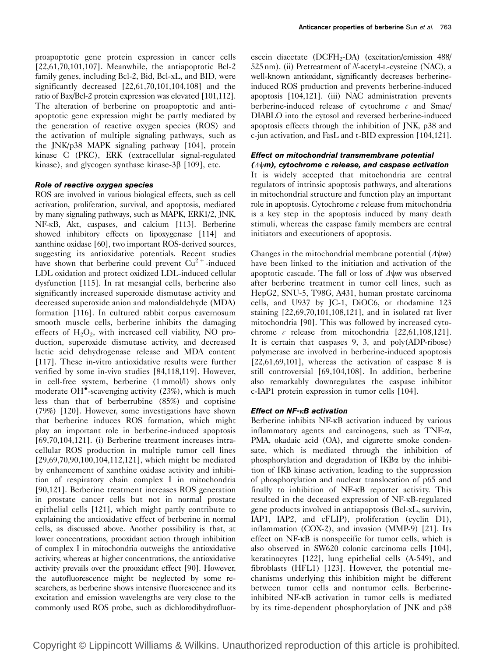proapoptotic gene protein expression in cancer cells [22,61,70,101,107]. Meanwhile, the antiapoptotic Bcl-2 family genes, including Bcl-2, Bid, Bcl-xL, and BID, were significantly decreased [22,61,70,101,104,108] and the ratio of Bax/Bcl-2 protein expression was elevated [101,112]. The alteration of berberine on proapoptotic and antiapoptotic gene expression might be partly mediated by the generation of reactive oxygen species (ROS) and the activation of multiple signaling pathways, such as the JNK/p38 MAPK signaling pathway [104], protein kinase C (PKC), ERK (extracellular signal-regulated kinase), and glycogen synthase kinase- $3\beta$  [109], etc.

#### Role of reactive oxygen species

ROS are involved in various biological effects, such as cell activation, proliferation, survival, and apoptosis, mediated by many signaling pathways, such as MAPK, ERK1/2, JNK, NF-kB, Akt, caspases, and calcium [113]. Berberine showed inhibitory effects on lipoxygenase [114] and xanthine oxidase [60], two important ROS-derived sources, suggesting its antioxidative potentials. Recent studies have shown that berberine could prevent  $Cu^{2+}$ -induced LDL oxidation and protect oxidized LDL-induced cellular dysfunction [115]. In rat mesangial cells, berberine also significantly increased superoxide dismutase activity and decreased superoxide anion and malondialdehyde (MDA) formation [116]. In cultured rabbit corpus cavernosum smooth muscle cells, berberine inhibits the damaging effects of  $H_2O_2$ , with increased cell viability, NO production, superoxide dismutase activity, and decreased lactic acid dehydrogenase release and MDA content [117]. These in-vitro antioxidative results were further verified by some in-vivo studies [84,118,119]. However, in cell-free system, berberine (1 mmol/l) shows only moderate OH<sup>•</sup>-scavenging activity (23%), which is much less than that of berberrubine (85%) and coptisine (79%) [120]. However, some investigations have shown that berberine induces ROS formation, which might play an important role in berberine-induced apoptosis [69,70,104,121]. (i) Berberine treatment increases intracellular ROS production in multiple tumor cell lines [29,69,70,90,100,104,112,121], which might be mediated by enhancement of xanthine oxidase activity and inhibition of respiratory chain complex I in mitochondria [90,121]. Berberine treatment increases ROS generation in prostate cancer cells but not in normal prostate epithelial cells [121], which might partly contribute to explaining the antioxidative effect of berberine in normal cells, as discussed above. Another possibility is that, at lower concentrations, prooxidant action through inhibition of complex I in mitochondria outweighs the antioxidative activity, whereas at higher concentrations, the antioxidative activity prevails over the prooxidant effect [90]. However, the autofluorescence might be neglected by some researchers, as berberine shows intensive fluorescence and its excitation and emission wavelengths are very close to the commonly used ROS probe, such as dichlorodihydrofluorescein diacetate (DCFH<sub>2</sub>-DA) (excitation/emission  $488/$ 525 nm). (ii) Pretreatment of N-acetyl-L-cysteine (NAC), a well-known antioxidant, significantly decreases berberineinduced ROS production and prevents berberine-induced apoptosis [104,121]. (iii) NAC administration prevents berberine-induced release of cytochrome  $\epsilon$  and Smac/ DIABLO into the cytosol and reversed berberine-induced apoptosis effects through the inhibition of JNK, p38 and c-jun activation, and FasL and t-BID expression [104,121].

# Effect on mitochondrial transmembrane potential

 $(\Delta \psi m)$ , cytochrome c release, and caspase activation It is widely accepted that mitochondria are central regulators of intrinsic apoptosis pathways, and alterations in mitochondrial structure and function play an important role in apoptosis. Cytochrome  $c$  release from mitochondria is a key step in the apoptosis induced by many death stimuli, whereas the caspase family members are central initiators and executioners of apoptosis.

Changes in the mitochondrial membrane potential  $(\Delta \psi_m)$ have been linked to the initiation and activation of the apoptotic cascade. The fall or loss of  $\Delta \psi m$  was observed after berberine treatment in tumor cell lines, such as HepG2, SNU-5, T98G, A431, human prostate carcinoma cells, and U937 by JC-1, DiOC6, or rhodamine 123 staining [22,69,70,101,108,121], and in isolated rat liver mitochondria [90]. This was followed by increased cytochrome  $\epsilon$  release from mitochondria [22,61,108,121]. It is certain that caspases 9, 3, and poly(ADP-ribose) polymerase are involved in berberine-induced apoptosis  $[22,61,69,101]$ , whereas the activation of caspase 8 is still controversial [69,104,108]. In addition, berberine also remarkably downregulates the caspase inhibitor c-IAP1 protein expression in tumor cells [104].

#### Effect on  $NF$ - $\kappa$ B activation

Berberine inhibits NF-kB activation induced by various inflammatory agents and carcinogens, such as  $TNF-\alpha$ , PMA, okadaic acid (OA), and cigarette smoke condensate, which is mediated through the inhibition of phosphorylation and degradation of  $IKB\alpha$  by the inhibition of IKB kinase activation, leading to the suppression of phosphorylation and nuclear translocation of p65 and finally to inhibition of NF-kB reporter activity. This resulted in the deceased expression of NF-kB-regulated gene products involved in antiapoptosis (Bcl-xL, survivin, IAP1, IAP2, and cFLIP), proliferation (cyclin D1), inflammation (COX-2), and invasion (MMP-9) [21]. Its effect on NF-kB is nonspecific for tumor cells, which is also observed in SW620 colonic carcinoma cells [104], keratinocytes [122], lung epithelial cells (A-549), and fibroblasts (HFL1) [123]. However, the potential mechanisms underlying this inhibition might be different between tumor cells and nontumor cells. Berberineinhibited NF-kB activation in tumor cells is mediated by its time-dependent phosphorylation of JNK and p38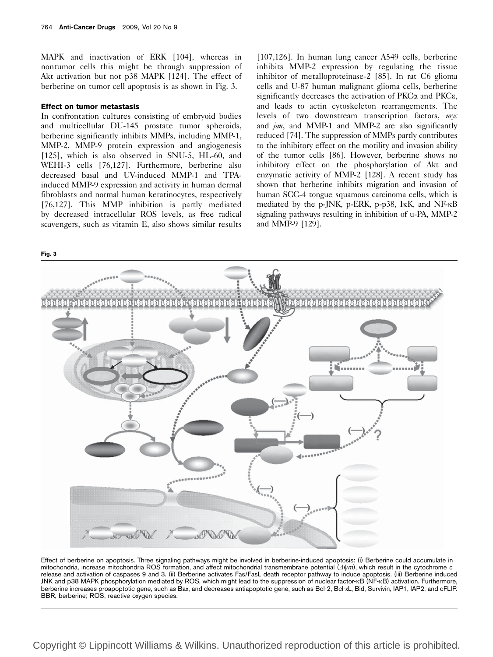MAPK and inactivation of ERK [104], whereas in nontumor cells this might be through suppression of Akt activation but not p38 MAPK [124]. The effect of berberine on tumor cell apoptosis is as shown in Fig. 3.

#### Effect on tumor metastasis

In confrontation cultures consisting of embryoid bodies and multicellular DU-145 prostate tumor spheroids, berberine significantly inhibits MMPs, including MMP-1, MMP-2, MMP-9 protein expression and angiogenesis [125], which is also observed in SNU-5, HL-60, and WEHI-3 cells [76,127]. Furthermore, berberine also decreased basal and UV-induced MMP-1 and TPAinduced MMP-9 expression and activity in human dermal fibroblasts and normal human keratinocytes, respectively [76,127]. This MMP inhibition is partly mediated by decreased intracellular ROS levels, as free radical scavengers, such as vitamin E, also shows similar results

[107,126]. In human lung cancer A549 cells, berberine inhibits MMP-2 expression by regulating the tissue inhibitor of metalloproteinase-2 [85]. In rat C6 glioma cells and U-87 human malignant glioma cells, berberine significantly decreases the activation of  $PKC\alpha$  and  $PKC\epsilon$ , and leads to actin cytoskeleton rearrangements. The levels of two downstream transcription factors, myc and  $jun$ , and MMP-1 and MMP-2 are also significantly reduced [74]. The suppression of MMPs partly contributes to the inhibitory effect on the motility and invasion ability of the tumor cells [86]. However, berberine shows no inhibitory effect on the phosphorylation of Akt and enzymatic activity of MMP-2 [128]. A recent study has shown that berberine inhibits migration and invasion of human SCC-4 tongue squamous carcinoma cells, which is mediated by the p-JNK, p-ERK, p-p38, IkK, and NF-kB signaling pathways resulting in inhibition of u-PA, MMP-2 and MMP-9 [129].



Effect of berberine on apoptosis. Three signaling pathways might be involved in berberine-induced apoptosis: (i) Berberine could accumulate in mitochondria, increase mitochondria ROS formation, and affect mitochondrial transmembrane potential  $(\Delta \psi m)$ , which result in the cytochrome c release and activation of caspases 9 and 3. (ii) Berberine activates Fas/FasL death receptor pathway to induce apoptosis. (iii) Berberine induced JNK and p38 MAPK phosphorylation mediated by ROS, which might lead to the suppression of nuclear factor-kB (NF-kB) activation. Furthermore, berberine increases proapoptotic gene, such as Bax, and decreases antiapoptotic gene, such as Bcl-2, Bcl-xL, Bid, Survivin, IAP1, IAP2, and cFLIP. BBR, berberine; ROS, reactive oxygen species.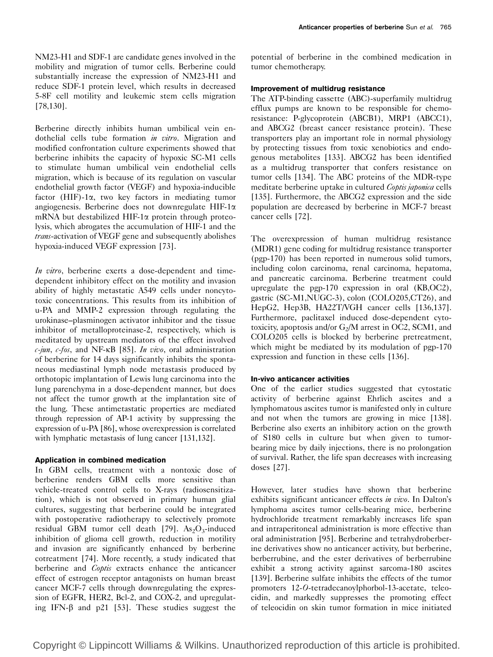NM23-H1 and SDF-1 are candidate genes involved in the mobility and migration of tumor cells. Berberine could substantially increase the expression of NM23-H1 and reduce SDF-1 protein level, which results in decreased 5-8F cell motility and leukemic stem cells migration [78,130].

Berberine directly inhibits human umbilical vein endothelial cells tube formation *in vitro*. Migration and modified confrontation culture experiments showed that berberine inhibits the capacity of hypoxic SC-M1 cells to stimulate human umbilical vein endothelial cells migration, which is because of its regulation on vascular endothelial growth factor (VEGF) and hypoxia-inducible factor (HIF)-1 $\alpha$ , two key factors in mediating tumor angiogenesis. Berberine does not downregulate HIF-1a mRNA but destabilized HIF-1 $\alpha$  protein through proteolysis, which abrogates the accumulation of HIF-1 and the trans-activation of VEGF gene and subsequently abolishes hypoxia-induced VEGF expression [73].

In vitro, berberine exerts a dose-dependent and timedependent inhibitory effect on the motility and invasion ability of highly metastatic A549 cells under noncytotoxic concentrations. This results from its inhibition of u-PA and MMP-2 expression through regulating the urokinase–plasminogen activator inhibitor and the tissue inhibitor of metalloproteinase-2, respectively, which is meditated by upstream mediators of the effect involved  $c$ -jun,  $c$ -fos, and NF- $\kappa$ B [85]. In vivo, oral administration of berberine for 14 days significantly inhibits the spontaneous mediastinal lymph node metastasis produced by orthotopic implantation of Lewis lung carcinoma into the lung parenchyma in a dose-dependent manner, but does not affect the tumor growth at the implantation site of the lung. These antimetastatic properties are mediated through repression of AP-1 activity by suppressing the expression of u-PA [86], whose overexpression is correlated with lymphatic metastasis of lung cancer [131,132].

#### Application in combined medication

In GBM cells, treatment with a nontoxic dose of berberine renders GBM cells more sensitive than vehicle-treated control cells to X-rays (radiosensitization), which is not observed in primary human glial cultures, suggesting that berberine could be integrated with postoperative radiotherapy to selectively promote residual GBM tumor cell death [79]. As<sub>2</sub>O<sub>3</sub>-induced inhibition of glioma cell growth, reduction in motility and invasion are significantly enhanced by berberine cotreatment [74]. More recently, a study indicated that berberine and Coptis extracts enhance the anticancer effect of estrogen receptor antagonists on human breast cancer MCF-7 cells through downregulating the expression of EGFR, HER2, Bcl-2, and COX-2, and upregulating IFN- $\beta$  and p21 [53]. These studies suggest the

potential of berberine in the combined medication in tumor chemotherapy.

#### Improvement of multidrug resistance

The ATP-binding cassette (ABC)-superfamily multidrug efflux pumps are known to be responsible for chemoresistance: P-glycoprotein (ABCB1), MRP1 (ABCC1), and ABCG2 (breast cancer resistance protein). These transporters play an important role in normal physiology by protecting tissues from toxic xenobiotics and endogenous metabolites [133]. ABCG2 has been identified as a multidrug transporter that confers resistance on tumor cells [134]. The ABC proteins of the MDR-type meditate berberine uptake in cultured Coptis japonica cells [135]. Furthermore, the ABCG2 expression and the side population are decreased by berberine in MCF-7 breast cancer cells [72].

The overexpression of human multidrug resistance (MDR1) gene coding for multidrug resistance transporter (pgp-170) has been reported in numerous solid tumors, including colon carcinoma, renal carcinoma, hepatoma, and pancreatic carcinoma. Berberine treatment could upregulate the pgp-170 expression in oral (KB,OC2), gastric (SC-M1,NUGC-3), colon (COLO205,CT26), and HepG2, Hep3B, HA22T/VGH cancer cells [136,137]. Furthermore, paclitaxel induced dose-dependent cytotoxicity, apoptosis and/or  $G_2/M$  arrest in OC2, SCM1, and COLO205 cells is blocked by berberine pretreatment, which might be mediated by its modulation of pgp-170 expression and function in these cells [136].

#### In-vivo anticancer activities

One of the earlier studies suggested that cytostatic activity of berberine against Ehrlich ascites and a lymphomatous ascites tumor is manifested only in culture and not when the tumors are growing in mice [138]. Berberine also exerts an inhibitory action on the growth of S180 cells in culture but when given to tumorbearing mice by daily injections, there is no prolongation of survival. Rather, the life span decreases with increasing doses [27].

However, later studies have shown that berberine exhibits significant anticancer effects in vivo. In Dalton's lymphoma ascites tumor cells-bearing mice, berberine hydrochloride treatment remarkably increases life span and intraperitoneal administration is more effective than oral administration [95]. Berberine and tetrahydroberberine derivatives show no anticancer activity, but berberine, berberrubine, and the ester derivatives of berberrubine exhibit a strong activity against sarcoma-180 ascites [139]. Berberine sulfate inhibits the effects of the tumor promoters 12-O-tetradecanoylphorbol-13-acetate, teleocidin, and markedly suppresses the promoting effect of teleocidin on skin tumor formation in mice initiated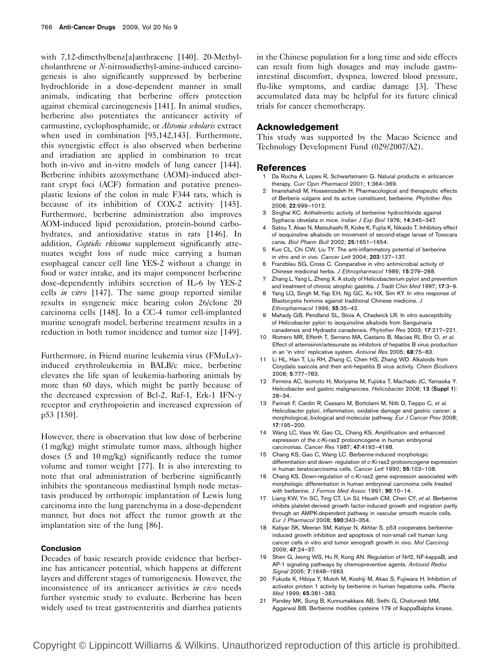with 7,12-dimethylbenz[a]anthracene [140]. 20-Methylcholanthrene or N-nitrosodiethyl-amine-induced carcinogenesis is also significantly suppressed by berberine hydrochloride in a dose-dependent manner in small animals, indicating that berberine offers protection against chemical carcinogenesis [141]. In animal studies, berberine also potentiates the anticancer activity of carmustine, cyclophosphamide, or Alstonia scholaris extract when used in combination [95,142,143]. Furthermore, this synergistic effect is also observed when berberine and irradiation are applied in combination to treat both in-vivo and in-vitro models of lung cancer [144]. Berberine inhibits azoxymethane (AOM)-induced aberrant crypt foci (ACF) formation and putative preneoplastic lesions of the colon in male F344 rats, which is because of its inhibition of COX-2 activity [145]. Furthermore, berberine administration also improves AOM-induced lipid peroxidation, protein-bound carbohydrates, and antioxidative status in rats [146]. In addition, Coptidis rhizoma supplement significantly attenuates weight loss of nude mice carrying a human esophageal cancer cell line YES-2 without a change in food or water intake, and its major component berberine dose-dependently inhibits secretion of IL-6 by YES-2 cells in vitro [147]. The same group reported similar results in syngeneic mice bearing colon 26/clone 20 carcinoma cells [148]. In a CC-4 tumor cell-implanted murine xenograft model, berberine treatment results in a reduction in both tumor incidence and tumor size [149].

Furthermore, in Friend murine leukemia virus (FMuLv) induced erythroleukemia in BALB/c mice, berberine elevates the life span of leukemia-harboring animals by more than 60 days, which might be partly because of the decreased expression of Bcl-2, Raf-1, Erk-1 IFN-g receptor and erythropoietin and increased expression of p53 [150].

However, there is observation that low dose of berberine (1 mg/kg) might stimulate tumor mass, although higher doses (5 and 10 mg/kg) significantly reduce the tumor volume and tumor weight [77]. It is also interesting to note that oral administration of berberine significantly inhibits the spontaneous mediastinal lymph node metastasis produced by orthotopic implantation of Lewis lung carcinoma into the lung parenchyma in a dose-dependent manner, but does not affect the tumor growth at the implantation site of the lung [86].

#### Conclusion

Decades of basic research provide evidence that berberine has anticancer potential, which happens at different layers and different stages of tumorigenesis. However, the inconsistence of its anticancer activities *in vivo* needs further systemic study to evaluate. Berberine has been widely used to treat gastroenteritis and diarrhea patients in the Chinese population for a long time and side effects can result from high dosages and may include gastrointestinal discomfort, dyspnea, lowered blood pressure, flu-like symptoms, and cardiac damage [3]. These accumulated data may be helpful for its future clinical trials for cancer chemotherapy.

#### Acknowledgement

This study was supported by the Macao Science and Technology Development Fund (029/2007/A2).

#### References

- Da Rocha A, Lopes R, Schwartsmann G. Natural products in anticancer therapy. Curr Opin Pharmacol 2001; 1:364–369.
- 2 Imanshahidi M, Hosseinzadeh H. Pharmacological and therapeutic effects of Berberis vulgaris and its active constituent, berberine. Phytother Res 2008; 22:999–1012.
- 3 Singhal KC. Anthelmintic activity of berberine hydrochloride against Syphacia obvelata in mice. Indian J Exp Biol 1976; 14:345–347.
- Satou T, Akao N, Matsuhashi R, Koike K, Fujita K, Nikaido T. Inhibitory effect of isoquinoline alkaloids on movement of second-stage larvae of Toxocara canis. Biol Pharm Bull 2002; 25:1651–1654.
- Kuo CL, Chi CW, Liu TY. The anti-inflammatory potential of berberine in vitro and in vivo. Cancer Lett 2004: 203:127-137.
- 6 Franzblau SG, Cross C. Comparative in vitro antimicrobial activity of Chinese medicinal herbs. J Ethnopharmacol 1986; 15:279–288.
- 7 Zhang L, Yang L, Zheng X. A study of Helicobacterium pylori and prevention and treatment of chronic atrophic gastritis. J Tradit Chin Med 1997; 17:3-9.
- Yang LQ, Singh M, Yap EH, Ng GC, Xu HX, Sim KY. In vitro response of Blastocystis hominis against traditional Chinese medicine. J Ethnopharmacol 1996; 55:35–42.
- 9 Mahady GB, Pendland SL, Stoia A, Chadwick LR. In vitro susceptibility of Helicobacter pylori to isoquinoline alkaloids from Sanguinaria canadensis and Hydrastis canadensis. Phytother Res 2003; 17:217–221.
- 10 Romero MR, Efferth T, Serrano MA, Castano B, Macias RI, Briz O, et al. Effect of artemisinin/artesunate as inhibitors of hepatitis B virus production in an 'in vitro' replicative system. Antiviral Res 2005; 68:75–83.
- 11 Li HL, Han T, Liu RH, Zhang C, Chen HS, Zhang WD. Alkaloids from Corydalis saxicola and their anti-hepatitis B virus activity. Chem Biodivers 2008; 5:777–783.
- 12 Ferreira AC, Isomoto H, Moriyama M, Fujioka T, Machado JC, Yamaoka Y. Helicobacter and gastric malignancies. Helicobacter 2008; 13 (Suppl 1): 28–34.
- 13 Farinati F, Cardin R, Cassaro M, Bortolami M, Nitti D, Tieppo C, et al. Helicobacter pylori, inflammation, oxidative damage and gastric cancer: a morphological, biological and molecular pathway. Eur J Cancer Prev 2008; 17:195–200.
- 14 Wang LC, Vass W, Gao CL, Chang KS. Amplification and enhanced expression of the c-Ki-ras2 protooncogene in human embryonal carcinomas. Cancer Res 1987; 47:4192–4198.
- 15 Chang KS, Gao C, Wang LC. Berberine-induced morphologic differentiation and down- regulation of c-Ki-ras2 protooncogene expression in human teratocarcinoma cells. Cancer Lett 1990: 55:103-108.
- 16 Chang KS. Down-regulation of c-Ki-ras2 gene expression associated with morphologic differentiation in human embryonal carcinoma cells treated with berberine. *I Formos Med Assoc* 1991; 90:10-14.
- 17 Liang KW, Yin SC, Ting CT, Lin SJ, Hsueh CM, Chen CY, et al. Berberine inhibits platelet-derived growth factor-induced growth and migration partly through an AMPK-dependent pathway in vascular smooth muscle cells. Eur J Pharmacol 2008; 590:343–354.
- 18 Katiyar SK, Meeran SM, Katiyar N, Akhtar S. p53 cooperates berberineinduced growth inhibition and apoptosis of non-small cell human lung cancer cells in vitro and tumor xenograft growth in vivo. Mol Carcinog 2009; 47:24–37.
- 19 Shen G, Jeong WS, Hu R, Kong AN. Regulation of Nrf2, NF-kappaB, and AP-1 signaling pathways by chemopreventive agents. Antioxid Redox Signal 2005; 7:1648–1663.
- 20 Fukuda K, Hibiya Y, Mutoh M, Koshiji M, Akao S, Fujiwara H. Inhibition of activator protein 1 activity by berberine in human hepatoma cells. Planta Med 1999; 65:381–383.
- 21 Pandey MK, Sung B, Kunnumakkara AB, Sethi G, Chaturvedi MM, Aggarwal BB. Berberine modifies cysteine 179 of IkappaBalpha kinase,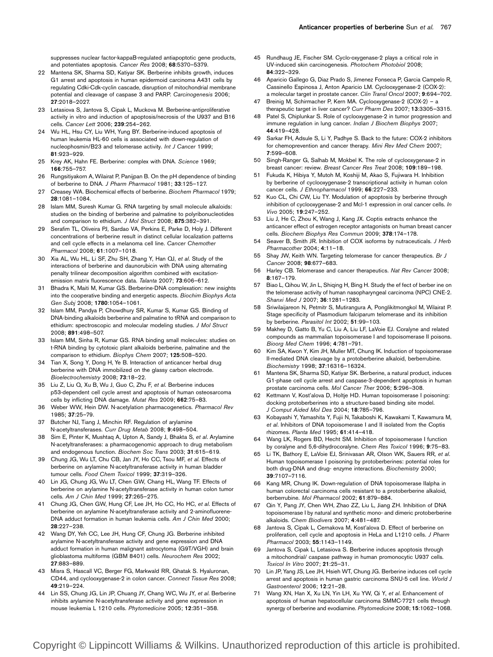suppresses nuclear factor-kappaB-regulated antiapoptotic gene products, and potentiates apoptosis. Cancer Res 2008; 68:5370–5379.

- 22 Mantena SK, Sharma SD, Katiyar SK. Berberine inhibits growth, induces G1 arrest and apoptosis in human epidermoid carcinoma A431 cells by regulating Cdki-Cdk-cyclin cascade, disruption of mitochondrial membrane potential and cleavage of caspase 3 and PARP. Carcinogenesis 2006; 27:2018–2027.
- Letasiova S, Jantova S, Cipak L, Muckova M. Berberine-antiproliferative activity in vitro and induction of apoptosis/necrosis of the U937 and B16 cells. Cancer Lett 2006; 239:254–262.
- 24 Wu HL, Hsu CY, Liu WH, Yung BY. Berberine-induced apoptosis of human leukemia HL-60 cells is associated with down-regulation of nucleophosmin/B23 and telomerase activity. Int J Cancer 1999; 81:923–929.
- 25 Krey AK, Hahn FE. Berberine: complex with DNA. Science 1969; 166:755–757.
- 26 Rungsitiyakorn A, Wilairat P, Panijpan B. On the pH dependence of binding of berberine to DNA. J Pharm Pharmacol 1981; 33:125–127.
- 27 Creasey WA. Biochemical effects of berberine. Biochem Pharmacol 1979; 28:1081–1084.
- 28 Islam MM, Suresh Kumar G. RNA targeting by small molecule alkaloids: studies on the binding of berberine and palmatine to polyribonucleotides and comparison to ethidium. J Mol Struct 2008; 875:382-391.
- 29 Serafim TL, Oliveira PJ, Sardao VA, Perkins E, Parke D, Holy J. Different concentrations of berberine result in distinct cellular localization patterns and cell cycle effects in a melanoma cell line. Cancer Chemother Pharmacol 2008; 61:1007–1018.
- 30 Xia AL, Wu HL, Li SF, Zhu SH, Zhang Y, Han QJ, et al. Study of the interactions of berberine and daunorubicin with DNA using alternating penalty trilinear decomposition algorithm combined with excitationemission matrix fluorescence data. Talanta 2007; 73:606–612.
- 31 Bhadra K, Maiti M, Kumar GS. Berberine-DNA complexation: new insights into the cooperative binding and energetic aspects. Biochim Biophys Acta Gen Subj 2008; 1780:1054–1061.
- 32 Islam MM, Pandya P, Chowdhury SR, Kumar S, Kumar GS. Binding of DNA-binding alkaloids berberine and palmatine to tRNA and comparison to ethidium: spectroscopic and molecular modeling studies. J Mol Struct 2008; 891:498–507.
- 33 Islam MM, Sinha R, Kumar GS. RNA binding small molecules: studies on t-RNA binding by cytotoxic plant alkaloids berberine, palmatine and the comparison to ethidium. Biophys Chem 2007; 125:508–520.
- 34 Tian X, Song Y, Dong H, Ye B. Interaction of anticancer herbal drug berberine with DNA immobilized on the glassy carbon electrode. Bioelectrochemistry 2008; 73:18–22.
- 35 Liu Z, Liu Q, Xu B, Wu J, Guo C, Zhu F, et al. Berberine induces p53-dependent cell cycle arrest and apoptosis of human osteosarcoma cells by inflicting DNA damage. Mutat Res 2009; 662:75–83.
- 36 Weber WW, Hein DW. N-acetylation pharmacogenetics. Pharmacol Rev 1985; 37:25–79.
- 37 Butcher NJ, Tiang J, Minchin RF. Regulation of arylamine N-acetyltransferases. Curr Drug Metab 2008; 9:498–504.
- 38 Sim E, Pinter K, Mushtaq A, Upton A, Sandy J, Bhakta S, et al. Arylamine N-acetyltransferases: a pharmacogenomic approach to drug metabolism and endogenous function. Biochem Soc Trans 2003; 31:615–619.
- 39 Chung JG, Wu LT, Chu CB, Jan JY, Ho CC, Tsou MF, et al. Effects of berberine on arylamine N-acetyltransferase activity in human bladder tumour cells. Food Chem Toxicol 1999; 37:319-326.
- 40 Lin JG, Chung JG, Wu LT, Chen GW, Chang HL, Wang TF. Effects of berberine on arylamine N-acetyltransferase activity in human colon tumor cells. Am J Chin Med 1999; 27:265-275.
- 41 Chung JG, Chen GW, Hung CF, Lee JH, Ho CC, Ho HC, et al. Effects of berberine on arylamine N-acetyltransferase activity and 2-aminofluorene-DNA adduct formation in human leukemia cells. Am J Chin Med 2000; 28:227–238.
- 42 Wang DY, Yeh CC, Lee JH, Hung CF, Chung JG. Berberine inhibited arylamine N-acetyltransferase activity and gene expression and DNA adduct formation in human malignant astrocytoma (G9T/VGH) and brain glioblastoma multiforms (GBM 8401) cells. Neurochem Res 2002; 27:883–889.
- 43 Misra S, Hascall VC, Berger FG, Markwald RR, Ghatak S. Hyaluronan, CD44, and cyclooxygenase-2 in colon cancer. Connect Tissue Res 2008; 49:219–224.
- Lin SS, Chung JG, Lin JP, Chuang JY, Chang WC, Wu JY, et al. Berberine inhibits arylamine N-acetyltransferase activity and gene expression in mouse leukemia L 1210 cells. Phytomedicine 2005; 12:351–358.
- 45 Rundhaug JE, Fischer SM. Cyclo-oxygenase-2 plays a critical role in UV-induced skin carcinogenesis. Photochem Photobiol 2008; 84:322–329.
- 46 Aparicio Gallego G, Diaz Prado S, Jimenez Fonseca P, Garcia Campelo R, Cassinello Espinosa J, Anton Aparicio LM. Cyclooxygenase-2 (COX-2): a molecular target in prostate cancer. Clin Transl Oncol 2007; 9:694–702.
- 47 Breinig M, Schirmacher P, Kern MA. Cyclooxygenase-2 (COX-2) a therapeutic target in liver cancer? Curr Pharm Des 2007; 13:3305–3315.
- 48 Patel S, Chiplunkar S. Role of cyclooxygenase-2 in tumor progression and immune regulation in lung cancer. Indian J Biochem Biophys 2007; 44:419–428.
- 49 Sarkar FH, Adsule S, Li Y, Padhye S. Back to the future: COX-2 inhibitors for chemoprevention and cancer therapy. Mini Rev Med Chem 2007; 7:599–608.
- 50 Singh-Ranger G, Salhab M, Mokbel K. The role of cyclooxygenase-2 in breast cancer: review. Breast Cancer Res Treat 2008; 109:189–198.
- 51 Fukuda K, Hibiya Y, Mutoh M, Koshiji M, Akao S, Fujiwara H. Inhibition by berberine of cyclooxygenase-2 transcriptional activity in human colon cancer cells. J Ethnopharmacol 1999; 66:227-233.
- Kuo CL, Chi CW, Liu TY. Modulation of apoptosis by berberine through inhibition of cyclooxygenase-2 and Mcl-1 expression in oral cancer cells. In Vivo 2005; 19:247–252.
- 53 Liu J, He C, Zhou K, Wang J, Kang JX. Coptis extracts enhance the anticancer effect of estrogen receptor antagonists on human breast cancer cells. Biochem Biophys Res Commun 2009; 378:174–178.
- Seaver B, Smith JR. Inhibition of COX isoforms by nutraceuticals. J Herb Pharmacother 2004; 4:11–18.
- 55 Shay JW, Keith WN. Targeting telomerase for cancer therapeutics. Br J Cancer 2008; 98:677–683.
- 56 Harley CB. Telomerase and cancer therapeutics. Nat Rev Cancer 2008; 8:167–179.
- 57 Biao L, Qihou W, Jin L, Shiging H, Bing H, Study the effect of berber ine on the telomerase activity of human nasopharyngeal carcinoma (NPC) CNE-2. Shanxi Med J 2007; 36:1281–1283.
- 58 Sriwilaijareon N, Petmitr S, Mutirangura A, Ponglikitmongkol M, Wilairat P. Stage specificity of Plasmodium falciparum telomerase and its inhibition by berberine. Parasitol Int 2002; 51:99–103.
- 59 Makhey D, Gatto B, Yu C, Liu A, Liu LF, LaVoie EJ. Coralyne and related compounds as mammalian topoisomerase I and topoisomerase II poisons. Bioorg Med Chem 1996; 4:781–791.
- 60 Kim SA, Kwon Y, Kim JH, Muller MT, Chung IK. Induction of topoisomerase II-mediated DNA cleavage by a protoberberine alkaloid, berberrubine. Biochemistry 1998; 37:16316–16324.
- 61 Mantena SK, Sharma SD, Katiyar SK. Berberine, a natural product, induces G1-phase cell cycle arrest and caspase-3-dependent apoptosis in human prostate carcinoma cells. Mol Cancer Ther 2006; 5:296–308.
- 62 Kettmann V, Kost'alova D, Holtje HD. Human topoisomerase I poisoning: docking protoberberines into a structure-based binding site model. J Comput Aided Mol Des 2004; 18:785–796.
- 63 Kobayashi Y, Yamashita Y, Fujii N, Takaboshi K, Kawakami T, Kawamura M, et al. Inhibitors of DNA topoisomerase I and II isolated from the Coptis rhizomes. Planta Med 1995; 61:414–418.
- 64 Wang LK, Rogers BD, Hecht SM. Inhibition of topoisomerase I function by coralyne and 5,6-dihydrocoralyne. Chem Res Toxicol 1996; 9:75–83.
- 65 Li TK, Bathory E, LaVoie EJ, Srinivasan AR, Olson WK, Sauers RR, et al. Human topoisomerase I poisoning by protoberberines: potential roles for both drug-DNA and drug- enzyme interactions. Biochemistry 2000; 39:7107–7116.
- 66 Kang MR, Chung IK. Down-regulation of DNA topoisomerase IIalpha in human colorectal carcinoma cells resistant to a protoberberine alkaloid, berberrubine. Mol Pharmacol 2002; 61:879–884.
- 67 Qin Y, Pang JY, Chen WH, Zhao ZZ, Liu L, Jiang ZH. Inhibition of DNA topoisomerase I by natural and synthetic mono- and dimeric protoberberine alkaloids. Chem Biodivers 2007; 4:481–487.
- 68 Jantova S, Cipak L, Cernakova M, Kost'alova D. Effect of berberine on proliferation, cell cycle and apoptosis in HeLa and L1210 cells. J Pharm Pharmacol 2003; 55:1143–1149.
- Jantova S, Cipak L, Letasiova S, Berberine induces apoptosis through a mitochondrial/ caspase pathway in human promonocytic U937 cells. Toxicol In Vitro 2007; 21:25–31.
- 70 Lin JP, Yang JS, Lee JH, Hsieh WT, Chung JG. Berberine induces cell cycle arrest and apoptosis in human gastric carcinoma SNU-5 cell line. World J Gastroenterol 2006; 12:21–28.
- Wang XN, Han X, Xu LN, Yin LH, Xu YW, Qi Y, et al. Enhancement of apoptosis of human hepatocellular carcinoma SMMC-7721 cells through synergy of berberine and evodiamine. Phytomedicine 2008; 15:1062–1068.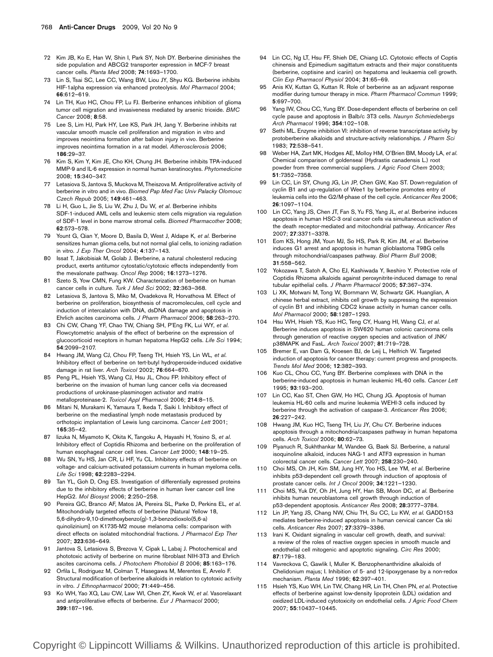- 72 Kim JB, Ko E, Han W, Shin I, Park SY, Noh DY. Berberine diminishes the side population and ABCG2 transporter expression in MCF-7 breast cancer cells. Planta Med 2008; 74:1693–1700.
- 73 Lin S, Tsai SC, Lee CC, Wang BW, Liou JY, Shyu KG. Berberine inhibits HIF-1alpha expression via enhanced proteolysis. Mol Pharmacol 2004; 66:612–619.
- 74 Lin TH, Kuo HC, Chou FP, Lu FJ. Berberine enhances inhibition of glioma tumor cell migration and invasiveness mediated by arsenic trioxide. BMC Cancer 2008; 8:58.
- 75 Lee S, Lim HJ, Park HY, Lee KS, Park JH, Jang Y. Berberine inhibits rat vascular smooth muscle cell proliferation and migration in vitro and improves neointima formation after balloon injury in vivo. Berberine improves neointima formation in a rat model. Atherosclerosis 2006; 186:29–37.
- 76 Kim S, Kim Y, Kim JE, Cho KH, Chung JH. Berberine inhibits TPA-induced MMP-9 and IL-6 expression in normal human keratinocytes. Phytomedicine 2008; 15:340–347.
- 77 Letasiova S, Jantova S, Muckova M, Theiszova M. Antiproliferative activity of berberine in vitro and in vivo. Biomed Pap Med Fac Univ Palacky Olomouc Czech Repub 2005; 149:461–463.
- 78 Li H, Guo L, Jie S, Liu W, Zhu J, Du W, et al. Berberine inhibits SDF-1-induced AML cells and leukemic stem cells migration via regulation of SDF-1 level in bone marrow stromal cells. Biomed Pharmacother 2008; 62:573–578.
- 79 Yount G, Qian Y, Moore D, Basila D, West J, Aldape K, et al. Berberine sensitizes human glioma cells, but not normal glial cells, to ionizing radiation in vitro. J Exp Ther Oncol 2004; 4:137–143.
- 80 Issat T, Jakobisiak M, Golab J. Berberine, a natural cholesterol reducing product, exerts antitumor cytostatic/cytotoxic effects independently from the mevalonate pathway. Oncol Rep 2006; 16:1273–1276.
- 81 Szeto S, Yow CMN, Fung KW. Characterization of berberine on human cancer cells in culture. Turk J Med Sci 2002; 32:363-368.
- 82 Letasiova S, Jantova S, Miko M, Ovadekova R, Horvathova M. Effect of berberine on proliferation, biosynthesis of macromolecules, cell cycle and induction of intercalation with DNA, dsDNA damage and apoptosis in Ehrlich ascites carcinoma cells. J Pharm Pharmacol 2006; 58:263–270.
- 83 Chi CW, Chang YF, Chao TW, Chiang SH, P'Eng FK, Lui WY, et al. Flowcytometric analysis of the effect of berberine on the expression of glucocorticoid receptors in human hepatoma HepG2 cells. Life Sci 1994; 54:2099–2107.
- 84 Hwang JM, Wang CJ, Chou FP, Tseng TH, Hsieh YS, Lin WL, et al. Inhibitory effect of berberine on tert-butyl hydroperoxide-induced oxidative damage in rat liver. Arch Toxicol 2002; 76:664–670.
- 85 Peng PL, Hsieh YS, Wang CJ, Hsu JL, Chou FP. Inhibitory effect of berberine on the invasion of human lung cancer cells via decreased productions of urokinase-plasminogen activator and matrix metalloproteinase-2. Toxicol Appl Pharmacol 2006; 214:8–15.
- 86 Mitani N, Murakami K, Yamaura T, Ikeda T, Saiki I. Inhibitory effect of berberine on the mediastinal lymph node metastasis produced by orthotopic implantation of Lewis lung carcinoma. Cancer Lett 2001; 165:35–42.
- 87 lizuka N, Miyamoto K, Okita K, Tangoku A, Hayashi H, Yosino S, et al. Inhibitory effect of Coptidis Rhizoma and berberine on the proliferation of human esophageal cancer cell lines. Cancer Lett 2000: 148:19-25.
- 88 Wu SN, Yu HS, Jan CR, Li HF, Yu CL. Inhibitory effects of berberine on voltage- and calcium-activated potassium currents in human myeloma cells. Life Sci 1998; 62:2283–2294.
- 89 Tan YL, Goh D, Ong ES. Investigation of differentially expressed proteins due to the inhibitory effects of berberine in human liver cancer cell line HepG2. Mol Biosyst 2006; 2:250–258.
- 90 Pereira GC, Branco AF, Matos JA, Pereira SL, Parke D, Perkins EL, et al. Mitochondrially targeted effects of berberine [Natural Yellow 18, 5,6-dihydro-9,10-dimethoxybenzo(g)-1,3-benzodioxolo(5,6-a) quinolizinium] on K1735-M2 mouse melanoma cells: comparison with direct effects on isolated mitochondrial fractions. J Pharmacol Exp Ther 2007; 323:636–649.
- 91 Jantova S, Letasiova S, Brezova V, Cipak L, Labaj J. Photochemical and phototoxic activity of berberine on murine fibroblast NIH-3T3 and Ehrlich ascites carcinoma cells. J Photochem Photobiol B 2006; 85:163–176.
- 92 Orfila L, Rodriguez M, Colman T, Hasegawa M, Merentes E, Arvelo F. Structural modification of berberine alkaloids in relation to cytotoxic activity in vitro. J Ethnopharmacol 2000; 71:449–456.
- 93 Ko WH, Yao XQ, Lau CW, Law WI, Chen ZY, Kwok W, et al. Vasorelaxant and antiproliferative effects of berberine. Eur J Pharmacol 2000; 399:187–196.
- 94 Lin CC, Ng LT, Hsu FF, Shieh DE, Chiang LC. Cytotoxic effects of Coptis chinensis and Epimedium sagittatum extracts and their major constituents (berberine, coptisine and icariin) on hepatoma and leukaemia cell growth. Clin Exp Pharmacol Physiol 2004; 31:65–69.
- 95 Anis KV, Kuttan G, Kuttan R. Role of berberine as an adjuvant response modifier during tumour therapy in mice. Pharm Pharmacol Commun 1999; 5:697–700.
- 96 Yang IW, Chou CC, Yung BY. Dose-dependent effects of berberine on cell cycle pause and apoptosis in Balb/c 3T3 cells. Naunyn Schmiedebergs Arch Pharmacol 1996; 354:102–108.
- 97 Sethi ML. Enzyme inhibition VI: inhibition of reverse transcriptase activity by protoberberine alkaloids and structure-activity relationships. J Pharm Sci 1983; 72:538–541.
- 98 Weber HA, Zart MK, Hodges AE, Molloy HM, O'Brien BM, Moody LA, et al. Chemical comparison of goldenseal (Hydrastis canadensis L.) root powder from three commercial suppliers. J Agric Food Chem 2003; 51:7352–7358.
- 99 Lin CC, Lin SY, Chung JG, Lin JP, Chen GW, Kao ST. Down-regulation of cyclin B1 and up-regulation of Wee1 by berberine promotes entry of leukemia cells into the G2/M-phase of the cell cycle. Anticancer Res 2006; 26:1097–1104.
- 100 Lin CC, Yang JS, Chen JT, Fan S, Yu FS, Yang JL, et al. Berberine induces apoptosis in human HSC-3 oral cancer cells via simultaneous activation of the death receptor-mediated and mitochondrial pathway. Anticancer Res 2007; 27:3371–3378.
- 101 Eom KS, Hong JM, Youn MJ, So HS, Park R, Kim JM, et al. Berberine induces G1 arrest and apoptosis in human glioblastoma T98G cells through mitochondrial/caspases pathway. Biol Pharm Bull 2008; 31:558–562.
- 102 Yokozawa T, Satoh A, Cho EJ, Kashiwada Y, Ikeshiro Y. Protective role of Coptidis Rhizoma alkaloids against peroxynitrite-induced damage to renal tubular epithelial cells. J Pharm Pharmacol 2005; 57:367–374.
- 103 Li XK, Motwani M, Tong W, Bornmann W, Schwartz GK. Huanglian, A chinese herbal extract, inhibits cell growth by suppressing the expression of cyclin B1 and inhibiting CDC2 kinase activity in human cancer cells. Mol Pharmacol 2000; 58:1287–1293.
- Hsu WH, Hsieh YS, Kuo HC, Teng CY, Huang HI, Wang CJ, et al. Berberine induces apoptosis in SW620 human colonic carcinoma cells through generation of reactive oxygen species and activation of JNK/ p38MAPK and FasL. Arch Toxicol 2007; 81:719–728.
- 105 Bremer E, van Dam G, Kroesen BJ, de Leij L, Helfrich W. Targeted induction of apoptosis for cancer therapy: current progress and prospects. Trends Mol Med 2006; 12:382–393.
- 106 Kuo CL, Chou CC, Yung BY. Berberine complexes with DNA in the berberine-induced apoptosis in human leukemic HL-60 cells. Cancer Lett 1995; 93:193–200.
- 107 Lin CC, Kao ST, Chen GW, Ho HC, Chung JG. Apoptosis of human leukemia HL-60 cells and murine leukemia WEHI-3 cells induced by berberine through the activation of caspase-3. Anticancer Res 2006;  $26.227 - 242$
- 108 Hwang JM, Kuo HC, Tseng TH, Liu JY, Chu CY. Berberine induces apoptosis through a mitochondria/caspases pathway in human hepatoma cells. Arch Toxicol 2006; 80:62–73.
- 109 Piyanuch R, Sukhthankar M, Wandee G, Baek SJ. Berberine, a natural isoquinoline alkaloid, induces NAG-1 and ATF3 expression in human colorectal cancer cells. Cancer Lett 2007; 258:230–240.
- 110 Choi MS, Oh JH, Kim SM, Jung HY, Yoo HS, Lee YM, et al. Berberine inhibits p53-dependent cell growth through induction of apoptosis of prostate cancer cells. Int J Oncol 2009; 34:1221–1230.
- 111 Choi MS, Yuk DY, Oh JH, Jung HY, Han SB, Moon DC, et al. Berberine inhibits human neuroblastoma cell growth through induction of p53-dependent apoptosis. Anticancer Res 2008; 28:3777–3784.
- 112 Lin JP, Yang JS, Chang NW, Chiu TH, Su CC, Lu KW, et al. GADD153 mediates berberine-induced apoptosis in human cervical cancer Ca ski cells. Anticancer Res 2007; 27:3379–3386.
- 113 Irani K. Oxidant signaling in vascular cell growth, death, and survival: a review of the roles of reactive oxygen species in smooth muscle and endothelial cell mitogenic and apoptotic signaling. Circ Res 2000; 87:179–183.
- 114 Vavreckova C, Gawlik I, Muller K. Benzophenanthridine alkaloids of Chelidonium majus; I. Inhibition of 5- and 12-lipoxygenase by a non-redox mechanism. Planta Med 1996; 62:397–401.
- 115 Hsieh YS, Kuo WH, Lin TW, Chang HR, Lin TH, Chen PN, et al. Protective effects of berberine against low-density lipoprotein (LDL) oxidation and oxidized LDL-induced cytotoxicity on endothelial cells. J Agric Food Chem 2007; 55:10437–10445.